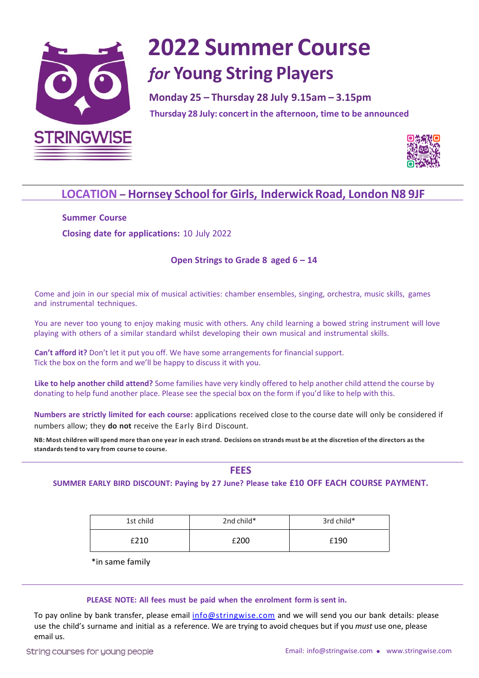

# **2022 Summer Course** *for* **Young String Players**

Monday 25 - Thursday 28 July 9.15am - 3.15pm **Thursday 9 April: open workshops***(morning***) & concert 1.45pm Thursday 28 July: concertin the afternoon, time to be announced**



### **LOCATION** - Hornsey School for Girls, Inderwick Road, London N8 9JF

**Summer Course Closing date for applications:** 10 July 2022

#### **Open Strings to Grade 8 aged 6 – 14**

Come and join in our special mix of musical activities: chamber ensembles, singing, orchestra, music skills, games and instrumental techniques.

You are never too young to enjoy making music with others. Any child learning a bowed string instrument will love playing with others of a similar standard whilst developing their own musical and instrumental skills.

**Can't afford it?** Don't let it put you off. We have some arrangements for financial support. Tick the box on the form and we'll be happy to discuss it with you.

**Like to help another child attend?** Some families have very kindly offered to help another child attend the course by donating to help fund another place. Please see the special box on the form if you'd like to help with this.

**Numbers are strictly limited for each course:** applications received close to the course date will only be considered if numbers allow; they **do not** receive the Early Bird Discount.

NB: Most children will spend more than one year in each strand. Decisions on strands must be at the discretion of the directors as the **standardstend to vary from course to course.**

**FEES**

**SUMMER EARLY BIRD DISCOUNT: Paying by 27 June? Please take £10 OFF EACH COURSE PAYMENT.**

| 1st child | 2nd child* | 3rd child* |  |
|-----------|------------|------------|--|
| £210      | £200       | £190       |  |

\*in same family

#### **PLEASE NOTE: All fees must be paid when the enrolment form is sent in.**

To pay online by bank transfer, please email info@stringwise.com and we will send you our bank details: please use the child's surname and initial as a reference. We are trying to avoid cheques but if you *must* use one, please email us.